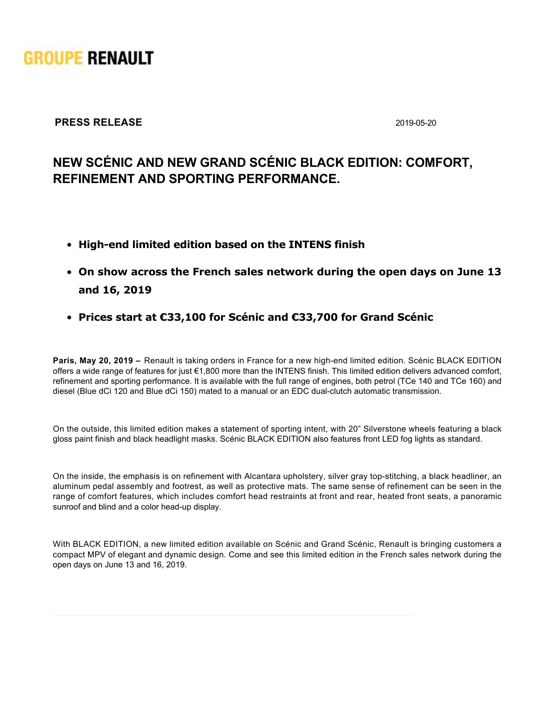

## **PRESS RELEASE** 2019-05-20

## **NEW SCÉNIC AND NEW GRAND SCÉNIC BLACK EDITION: COMFORT, REFINEMENT AND SPORTING PERFORMANCE.**

- **Highend limited edition based on the INTENS finish**
- **On show across the French sales network during the open days on June 13 and 16, 2019**
- **Prices start at €33,100 for Scénic and €33,700 for Grand Scénic**

**Paris, May 20, 2019 –** Renault is taking orders in France for a new high-end limited edition. Scénic BLACK EDITION offers a wide range of features for just €1,800 more than the INTENS finish. This limited edition delivers advanced comfort, refinement and sporting performance. It is available with the full range of engines, both petrol (TCe 140 and TCe 160) and diesel (Blue dCi 120 and Blue dCi 150) mated to a manual or an EDC dual-clutch automatic transmission.

On the outside, this limited edition makes a statement of sporting intent, with 20" Silverstone wheels featuring a black gloss paint finish and black headlight masks. Scénic BLACK EDITION also features front LED fog lights as standard.

On the inside, the emphasis is on refinement with Alcantara upholstery, silver gray top-stitching, a black headliner, an aluminum pedal assembly and footrest, as well as protective mats. The same sense of refinement can be seen in the range of comfort features, which includes comfort head restraints at front and rear, heated front seats, a panoramic sunroof and blind and a color head-up display.

With BLACK EDITION, a new limited edition available on Scénic and Grand Scénic, Renault is bringing customers a compact MPV of elegant and dynamic design. Come and see this limited edition in the French sales network during the open days on June 13 and 16, 2019.